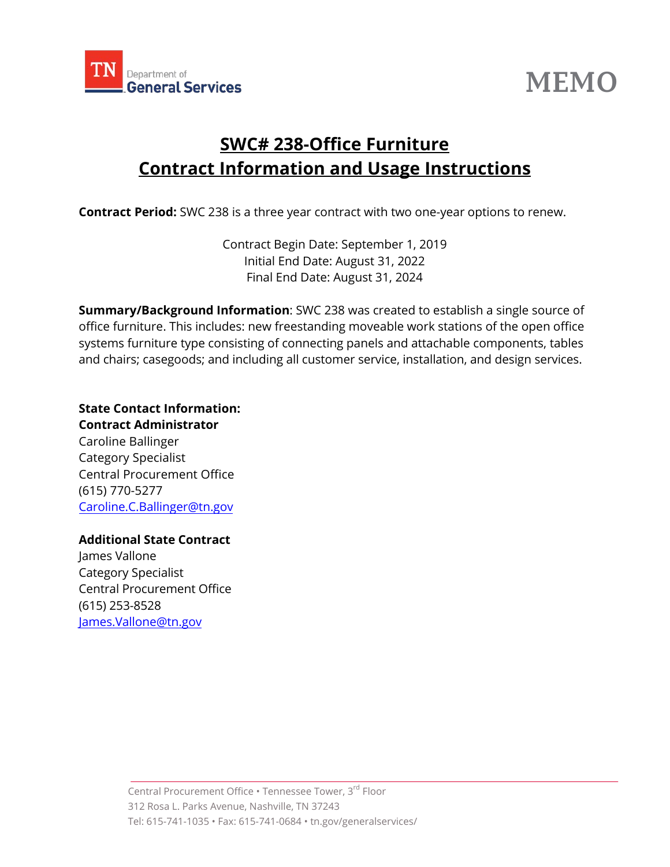

# **MEMO**

# **SWC# 238-Office Furniture Contract Information and Usage Instructions**

**Contract Period:** SWC 238 is a three year contract with two one-year options to renew.

Contract Begin Date: September 1, 2019 Initial End Date: August 31, 2022 Final End Date: August 31, 2024

**Summary/Background Information**: SWC 238 was created to establish a single source of office furniture. This includes: new freestanding moveable work stations of the open office systems furniture type consisting of connecting panels and attachable components, tables and chairs; casegoods; and including all customer service, installation, and design services.

**State Contact Information: Contract Administrator**  Caroline Ballinger Category Specialist Central Procurement Office (615) 770-5277 [Caroline.C.Ballinger](mailto:Lindsey.Lattner@tn.gov)@tn.gov

**Additional State Contract**

James Vallone Category Specialist Central Procurement Office (615) 253-8528 James.Vallone@tn.gov